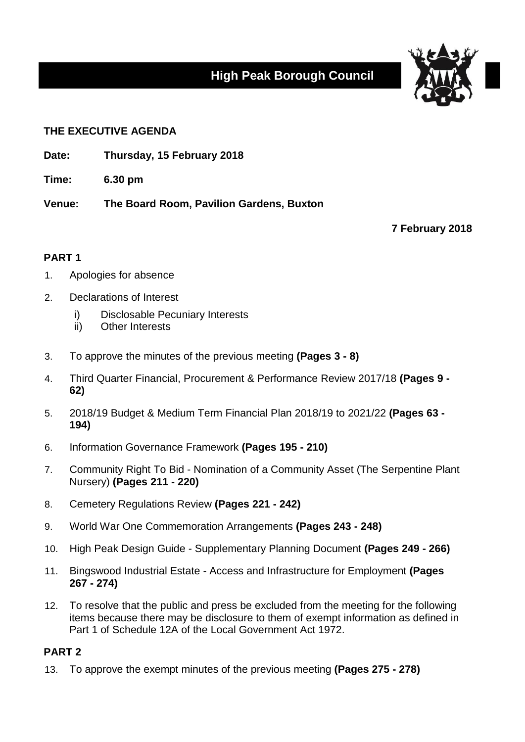# **High Peak Borough Council**



## **THE EXECUTIVE AGENDA**

- **Date: Thursday, 15 February 2018**
- **Time: 6.30 pm**

**Venue: The Board Room, Pavilion Gardens, Buxton**

**7 February 2018**

# **PART 1**

- 1. Apologies for absence
- 2. Declarations of Interest
	- i) Disclosable Pecuniary Interests
	- ii) Other Interests
- 3. To approve the minutes of the previous meeting **(Pages 3 - 8)**
- 4. Third Quarter Financial, Procurement & Performance Review 2017/18 **(Pages 9 - 62)**
- 5. 2018/19 Budget & Medium Term Financial Plan 2018/19 to 2021/22 **(Pages 63 - 194)**
- 6. Information Governance Framework **(Pages 195 - 210)**
- 7. Community Right To Bid Nomination of a Community Asset (The Serpentine Plant Nursery) **(Pages 211 - 220)**
- 8. Cemetery Regulations Review **(Pages 221 - 242)**
- 9. World War One Commemoration Arrangements **(Pages 243 - 248)**
- 10. High Peak Design Guide Supplementary Planning Document **(Pages 249 - 266)**
- 11. Bingswood Industrial Estate Access and Infrastructure for Employment **(Pages 267 - 274)**
- 12. To resolve that the public and press be excluded from the meeting for the following items because there may be disclosure to them of exempt information as defined in Part 1 of Schedule 12A of the Local Government Act 1972.

## **PART 2**

13. To approve the exempt minutes of the previous meeting **(Pages 275 - 278)**